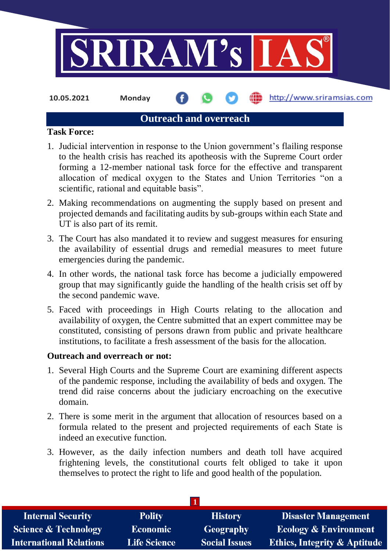

**10.05.2021 Monday**

http://www.sriramsias.com

## **Outreach and overreach**

#### **Task Force:**

- 1. Judicial intervention in response to the Union government's flailing response to the health crisis has reached its apotheosis with the Supreme Court order forming a 12-member national task force for the effective and transparent allocation of medical oxygen to the States and Union Territories "on a scientific, rational and equitable basis".
- 2. Making recommendations on augmenting the supply based on present and projected demands and facilitating audits by sub-groups within each State and UT is also part of its remit.
- 3. The Court has also mandated it to review and suggest measures for ensuring the availability of essential drugs and remedial measures to meet future emergencies during the pandemic.
- 4. In other words, the national task force has become a judicially empowered group that may significantly guide the handling of the health crisis set off by the second pandemic wave.
- 5. Faced with proceedings in High Courts relating to the allocation and availability of oxygen, the Centre submitted that an expert committee may be constituted, consisting of persons drawn from public and private healthcare institutions, to facilitate a fresh assessment of the basis for the allocation.

### **Outreach and overreach or not:**

- 1. Several High Courts and the Supreme Court are examining different aspects of the pandemic response, including the availability of beds and oxygen. The trend did raise concerns about the judiciary encroaching on the executive domain.
- 2. There is some merit in the argument that allocation of resources based on a formula related to the present and projected requirements of each State is indeed an executive function.
- 3. However, as the daily infection numbers and death toll have acquired frightening levels, the constitutional courts felt obliged to take it upon themselves to protect the right to life and good health of the population.

| <b>Internal Security</b>        | <b>Polity</b>       | <b>History</b>       | <b>Disaster Management</b>              |
|---------------------------------|---------------------|----------------------|-----------------------------------------|
| <b>Science &amp; Technology</b> | <b>Economic</b>     | Geography            | <b>Ecology &amp; Environment</b>        |
| <b>International Relations</b>  | <b>Life Science</b> | <b>Social Issues</b> | <b>Ethics, Integrity &amp; Aptitude</b> |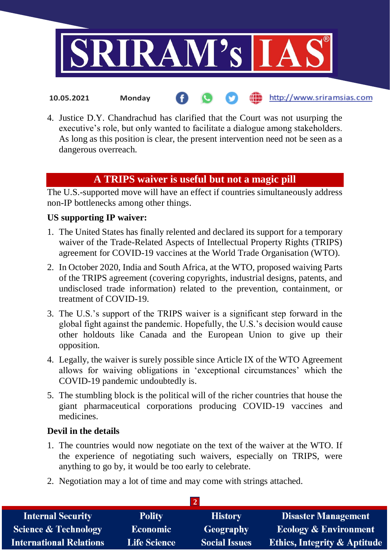

4. Justice D.Y. Chandrachud has clarified that the Court was not usurping the executive's role, but only wanted to facilitate a dialogue among stakeholders. As long as this position is clear, the present intervention need not be seen as a dangerous overreach.

# **A TRIPS waiver is useful but not a magic pill**

The U.S.-supported move will have an effect if countries simultaneously address non-IP bottlenecks among other things.

### **US supporting IP waiver:**

**10.05.2021 Monday**

- 1. The United States has finally relented and declared its support for a temporary waiver of the Trade-Related Aspects of Intellectual Property Rights (TRIPS) agreement for COVID-19 vaccines at the World Trade Organisation (WTO).
- 2. In October 2020, India and South Africa, at the WTO, proposed waiving Parts of the TRIPS agreement (covering copyrights, industrial designs, patents, and undisclosed trade information) related to the prevention, containment, or treatment of COVID-19.
- 3. The U.S.'s support of the TRIPS waiver is a significant step forward in the global fight against the pandemic. Hopefully, the U.S.'s decision would cause other holdouts like Canada and the European Union to give up their opposition.
- 4. Legally, the waiver is surely possible since Article IX of the WTO Agreement allows for waiving obligations in 'exceptional circumstances' which the COVID-19 pandemic undoubtedly is.
- 5. The stumbling block is the political will of the richer countries that house the giant pharmaceutical corporations producing COVID-19 vaccines and medicines.

### **Devil in the details**

- 1. The countries would now negotiate on the text of the waiver at the WTO. If the experience of negotiating such waivers, especially on TRIPS, were anything to go by, it would be too early to celebrate.
- 2. Negotiation may a lot of time and may come with strings attached.

| <b>Internal Security</b>        | <b>Polity</b>       | <b>History</b>       | <b>Disaster Management</b>              |  |  |
|---------------------------------|---------------------|----------------------|-----------------------------------------|--|--|
| <b>Science &amp; Technology</b> | <b>Economic</b>     | Geography            | <b>Ecology &amp; Environment</b>        |  |  |
| <b>International Relations</b>  | <b>Life Science</b> | <b>Social Issues</b> | <b>Ethics, Integrity &amp; Aptitude</b> |  |  |